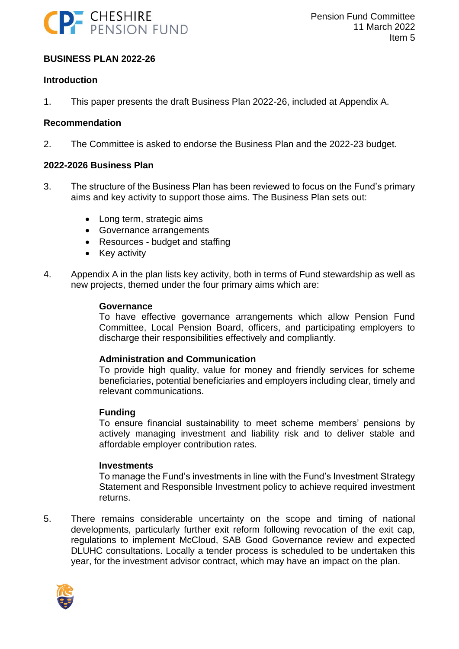

### **BUSINESS PLAN 2022-26**

#### **Introduction**

1. This paper presents the draft Business Plan 2022-26, included at Appendix A.

#### **Recommendation**

2. The Committee is asked to endorse the Business Plan and the 2022-23 budget.

#### **2022-2026 Business Plan**

- 3. The structure of the Business Plan has been reviewed to focus on the Fund's primary aims and key activity to support those aims. The Business Plan sets out:
	- Long term, strategic aims
	- Governance arrangements
	- Resources budget and staffing
	- Key activity
- 4. Appendix A in the plan lists key activity, both in terms of Fund stewardship as well as new projects, themed under the four primary aims which are:

#### **Governance**

To have effective governance arrangements which allow Pension Fund Committee, Local Pension Board, officers, and participating employers to discharge their responsibilities effectively and compliantly.

#### **Administration and Communication**

To provide high quality, value for money and friendly services for scheme beneficiaries, potential beneficiaries and employers including clear, timely and relevant communications.

#### **Funding**

To ensure financial sustainability to meet scheme members' pensions by actively managing investment and liability risk and to deliver stable and affordable employer contribution rates.

#### **Investments**

To manage the Fund's investments in line with the Fund's Investment Strategy Statement and Responsible Investment policy to achieve required investment returns.

5. There remains considerable uncertainty on the scope and timing of national developments, particularly further exit reform following revocation of the exit cap, regulations to implement McCloud, SAB Good Governance review and expected DLUHC consultations. Locally a tender process is scheduled to be undertaken this year, for the investment advisor contract, which may have an impact on the plan.

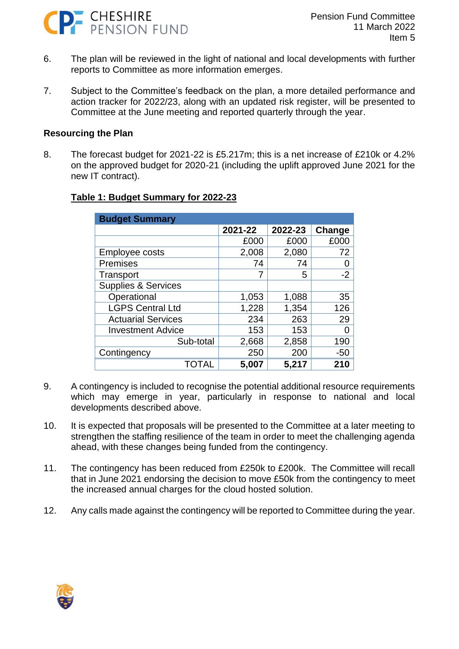

- 6. The plan will be reviewed in the light of national and local developments with further reports to Committee as more information emerges.
- 7. Subject to the Committee's feedback on the plan, a more detailed performance and action tracker for 2022/23, along with an updated risk register, will be presented to Committee at the June meeting and reported quarterly through the year.

#### **Resourcing the Plan**

8. The forecast budget for 2021-22 is £5.217m; this is a net increase of £210k or 4.2% on the approved budget for 2020-21 (including the uplift approved June 2021 for the new IT contract).

| <b>Budget Summary</b>          |         |         |        |  |  |
|--------------------------------|---------|---------|--------|--|--|
|                                | 2021-22 | 2022-23 | Change |  |  |
|                                | £000    | £000    | £000   |  |  |
| Employee costs                 | 2,008   | 2,080   | 72     |  |  |
| Premises                       | 74      | 74      |        |  |  |
| Transport                      |         | 5       | $-2$   |  |  |
| <b>Supplies &amp; Services</b> |         |         |        |  |  |
| Operational                    | 1,053   | 1,088   | 35     |  |  |
| <b>LGPS Central Ltd</b>        | 1,228   | 1,354   | 126    |  |  |
| <b>Actuarial Services</b>      | 234     | 263     | 29     |  |  |
| <b>Investment Advice</b>       | 153     | 153     |        |  |  |
| Sub-total                      | 2,668   | 2,858   | 190    |  |  |
| Contingency                    | 250     | 200     | $-50$  |  |  |
| TOTAL                          | 5,007   | 5,217   | 210    |  |  |

#### **Table 1: Budget Summary for 2022-23**

- 9. A contingency is included to recognise the potential additional resource requirements which may emerge in year, particularly in response to national and local developments described above.
- 10. It is expected that proposals will be presented to the Committee at a later meeting to strengthen the staffing resilience of the team in order to meet the challenging agenda ahead, with these changes being funded from the contingency.
- 11. The contingency has been reduced from £250k to £200k. The Committee will recall that in June 2021 endorsing the decision to move £50k from the contingency to meet the increased annual charges for the cloud hosted solution.
- 12. Any calls made against the contingency will be reported to Committee during the year.

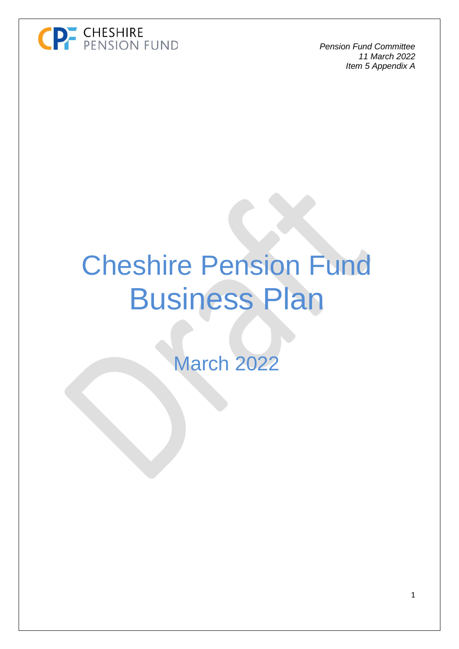

# Cheshire Pension Fund Business Plan

March 2022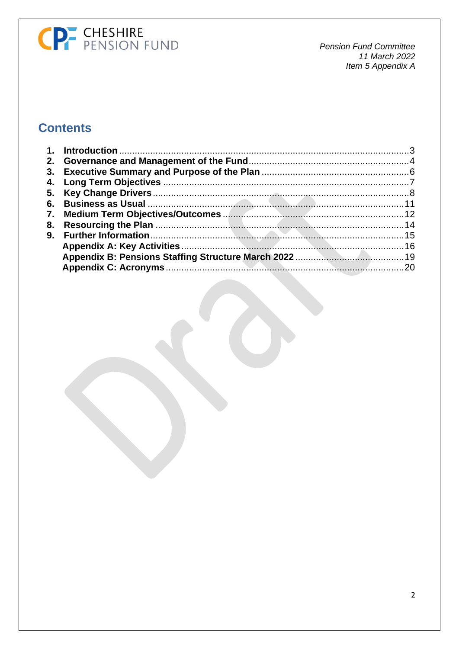# CP CHESHIRE<br>
PENSION FUND

**Pension Fund Committee** 11 March 2022 Item 5 Appendix A

## **Contents**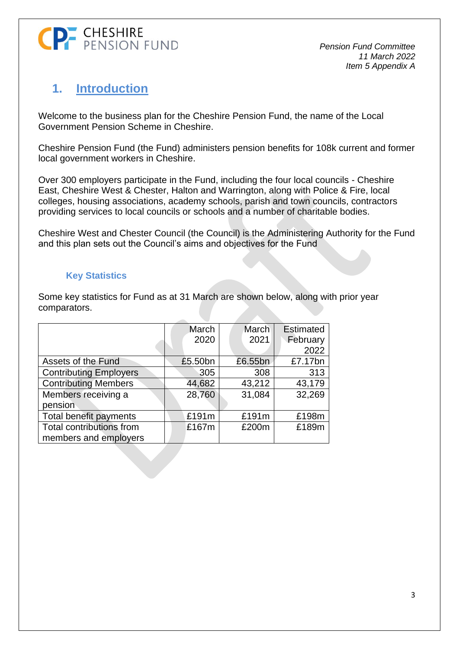

## <span id="page-4-0"></span>**1. Introduction**

Welcome to the business plan for the Cheshire Pension Fund, the name of the Local Government Pension Scheme in Cheshire.

Cheshire Pension Fund (the Fund) administers pension benefits for 108k current and former local government workers in Cheshire.

Over 300 employers participate in the Fund, including the four local councils - Cheshire East, Cheshire West & Chester, Halton and Warrington, along with Police & Fire, local colleges, housing associations, academy schools, parish and town councils, contractors providing services to local councils or schools and a number of charitable bodies.

Cheshire West and Chester Council (the Council) is the Administering Authority for the Fund and this plan sets out the Council's aims and objectives for the Fund

### **Key Statistics**

Some key statistics for Fund as at 31 March are shown below, along with prior year comparators.

|                               | March   | March   | <b>Estimated</b> |
|-------------------------------|---------|---------|------------------|
|                               | 2020    | 2021    | February         |
|                               |         |         | 2022             |
| Assets of the Fund            | £5.50bn | £6.55bn | £7.17bn          |
| <b>Contributing Employers</b> | 305     | 308     | 313              |
| <b>Contributing Members</b>   | 44,682  | 43,212  | 43,179           |
| Members receiving a           | 28,760  | 31,084  | 32,269           |
| pension                       |         |         |                  |
| Total benefit payments        | £191m   | £191m   | £198m            |
| Total contributions from      | £167m   | £200m   | £189m            |
| members and employers         |         |         |                  |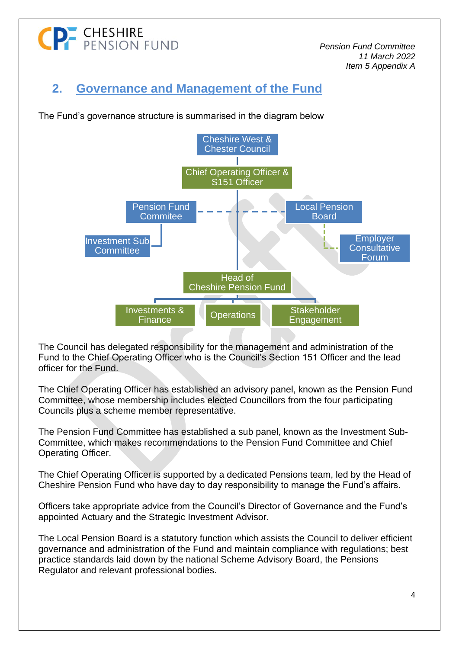# **P** CHESHIRE<br>P PENSION FUND

*Pension Fund Committee 11 March 2022 Item 5 Appendix A*

# <span id="page-5-0"></span>**2. Governance and Management of the Fund**

The Fund's governance structure is summarised in the diagram below



The Council has delegated responsibility for the management and administration of the Fund to the Chief Operating Officer who is the Council's Section 151 Officer and the lead officer for the Fund.

The Chief Operating Officer has established an advisory panel, known as the Pension Fund Committee, whose membership includes elected Councillors from the four participating Councils plus a scheme member representative.

The Pension Fund Committee has established a sub panel, known as the Investment Sub-Committee, which makes recommendations to the Pension Fund Committee and Chief Operating Officer.

The Chief Operating Officer is supported by a dedicated Pensions team, led by the Head of Cheshire Pension Fund who have day to day responsibility to manage the Fund's affairs.

Officers take appropriate advice from the Council's Director of Governance and the Fund's appointed Actuary and the Strategic Investment Advisor.

The Local Pension Board is a statutory function which assists the Council to deliver efficient governance and administration of the Fund and maintain compliance with regulations; best practice standards laid down by the national Scheme Advisory Board, the Pensions Regulator and relevant professional bodies.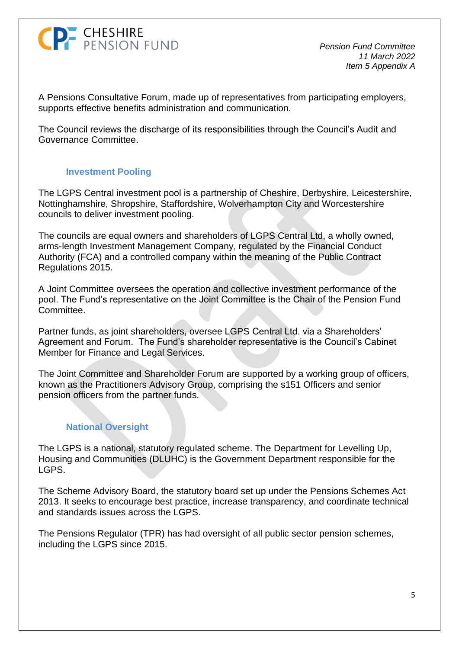

A Pensions Consultative Forum, made up of representatives from participating employers, supports effective benefits administration and communication.

The Council reviews the discharge of its responsibilities through the Council's Audit and Governance Committee.

#### **Investment Pooling**

The LGPS Central investment pool is a partnership of Cheshire, Derbyshire, Leicestershire, Nottinghamshire, Shropshire, Staffordshire, Wolverhampton City and Worcestershire councils to deliver investment pooling.

The councils are equal owners and shareholders of LGPS Central Ltd, a wholly owned, arms-length Investment Management Company, regulated by the Financial Conduct Authority (FCA) and a controlled company within the meaning of the Public Contract Regulations 2015.

A Joint Committee oversees the operation and collective investment performance of the pool. The Fund's representative on the Joint Committee is the Chair of the Pension Fund Committee.

Partner funds, as joint shareholders, oversee LGPS Central Ltd. via a Shareholders' Agreement and Forum. The Fund's shareholder representative is the Council's Cabinet Member for Finance and Legal Services.

The Joint Committee and Shareholder Forum are supported by a working group of officers, known as the Practitioners Advisory Group, comprising the s151 Officers and senior pension officers from the partner funds.

### **National Oversight**

The LGPS is a national, statutory regulated scheme. The Department for Levelling Up, Housing and Communities (DLUHC) is the Government Department responsible for the LGPS.

The Scheme Advisory Board, the statutory board set up under the Pensions Schemes Act 2013. It seeks to encourage best practice, increase transparency, and coordinate technical and standards issues across the LGPS.

The Pensions Regulator (TPR) has had oversight of all public sector pension schemes, including the LGPS since 2015.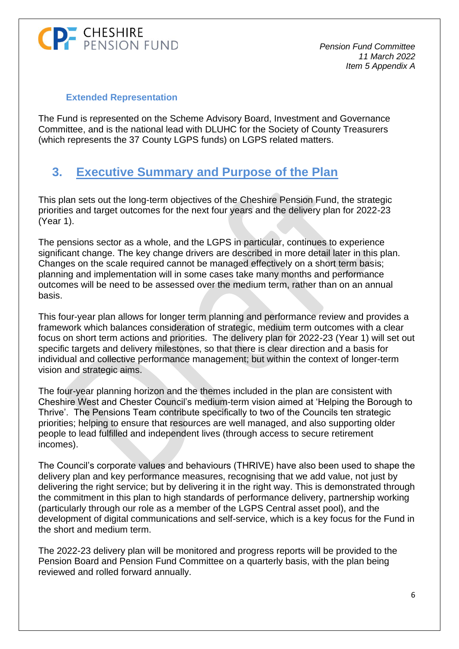

#### **Extended Representation**

The Fund is represented on the Scheme Advisory Board, Investment and Governance Committee, and is the national lead with DLUHC for the Society of County Treasurers (which represents the 37 County LGPS funds) on LGPS related matters.

## <span id="page-7-0"></span>**3. Executive Summary and Purpose of the Plan**

This plan sets out the long-term objectives of the Cheshire Pension Fund, the strategic priorities and target outcomes for the next four years and the delivery plan for 2022-23 (Year 1).

The pensions sector as a whole, and the LGPS in particular, continues to experience significant change. The key change drivers are described in more detail later in this plan. Changes on the scale required cannot be managed effectively on a short term basis; planning and implementation will in some cases take many months and performance outcomes will be need to be assessed over the medium term, rather than on an annual basis.

This four-year plan allows for longer term planning and performance review and provides a framework which balances consideration of strategic, medium term outcomes with a clear focus on short term actions and priorities. The delivery plan for 2022-23 (Year 1) will set out specific targets and delivery milestones, so that there is clear direction and a basis for individual and collective performance management; but within the context of longer-term vision and strategic aims.

The four-year planning horizon and the themes included in the plan are consistent with Cheshire West and Chester Council's medium-term vision aimed at 'Helping the Borough to Thrive'. The Pensions Team contribute specifically to two of the Councils ten strategic priorities; helping to ensure that resources are well managed, and also supporting older people to lead fulfilled and independent lives (through access to secure retirement incomes).

The Council's corporate values and behaviours (THRIVE) have also been used to shape the delivery plan and key performance measures, recognising that we add value, not just by delivering the right service; but by delivering it in the right way. This is demonstrated through the commitment in this plan to high standards of performance delivery, partnership working (particularly through our role as a member of the LGPS Central asset pool), and the development of digital communications and self-service, which is a key focus for the Fund in the short and medium term.

The 2022-23 delivery plan will be monitored and progress reports will be provided to the Pension Board and Pension Fund Committee on a quarterly basis, with the plan being reviewed and rolled forward annually.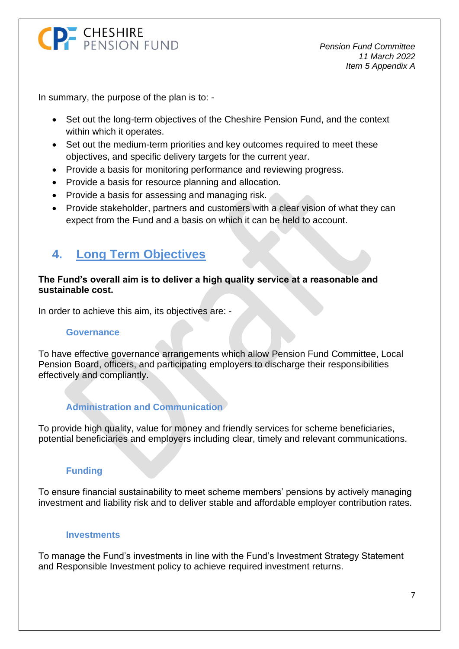

In summary, the purpose of the plan is to: -

- Set out the long-term objectives of the Cheshire Pension Fund, and the context within which it operates.
- Set out the medium-term priorities and key outcomes required to meet these objectives, and specific delivery targets for the current year.
- Provide a basis for monitoring performance and reviewing progress.
- Provide a basis for resource planning and allocation.
- Provide a basis for assessing and managing risk.
- Provide stakeholder, partners and customers with a clear vision of what they can expect from the Fund and a basis on which it can be held to account.

## <span id="page-8-0"></span>**4. Long Term Objectives**

#### **The Fund's overall aim is to deliver a high quality service at a reasonable and sustainable cost.**

In order to achieve this aim, its objectives are: -

#### **Governance**

To have effective governance arrangements which allow Pension Fund Committee, Local Pension Board, officers, and participating employers to discharge their responsibilities effectively and compliantly.

### **Administration and Communication**

To provide high quality, value for money and friendly services for scheme beneficiaries, potential beneficiaries and employers including clear, timely and relevant communications.

### **Funding**

To ensure financial sustainability to meet scheme members' pensions by actively managing investment and liability risk and to deliver stable and affordable employer contribution rates.

#### **Investments**

To manage the Fund's investments in line with the Fund's Investment Strategy Statement and Responsible Investment policy to achieve required investment returns.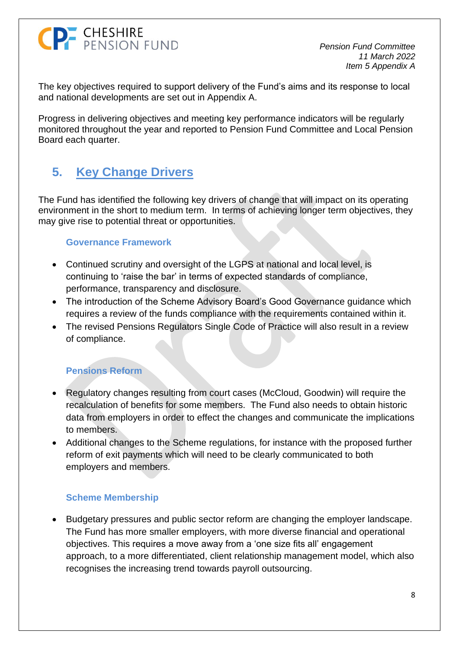*Pension Fund Committee 11 March 2022 Item 5 Appendix A*

The key objectives required to support delivery of the Fund's aims and its response to local and national developments are set out in Appendix A.

Progress in delivering objectives and meeting key performance indicators will be regularly monitored throughout the year and reported to Pension Fund Committee and Local Pension Board each quarter.

# <span id="page-9-0"></span>**5. Key Change Drivers**

The Fund has identified the following key drivers of change that will impact on its operating environment in the short to medium term. In terms of achieving longer term objectives, they may give rise to potential threat or opportunities.

### **Governance Framework**

- Continued scrutiny and oversight of the LGPS at national and local level, is continuing to 'raise the bar' in terms of expected standards of compliance, performance, transparency and disclosure.
- The introduction of the Scheme Advisory Board's Good Governance guidance which requires a review of the funds compliance with the requirements contained within it.
- The revised Pensions Regulators Single Code of Practice will also result in a review of compliance.

## **Pensions Reform**

- Regulatory changes resulting from court cases (McCloud, Goodwin) will require the recalculation of benefits for some members. The Fund also needs to obtain historic data from employers in order to effect the changes and communicate the implications to members.
- Additional changes to the Scheme regulations, for instance with the proposed further reform of exit payments which will need to be clearly communicated to both employers and members.

## **Scheme Membership**

• Budgetary pressures and public sector reform are changing the employer landscape. The Fund has more smaller employers, with more diverse financial and operational objectives. This requires a move away from a 'one size fits all' engagement approach, to a more differentiated, client relationship management model, which also recognises the increasing trend towards payroll outsourcing.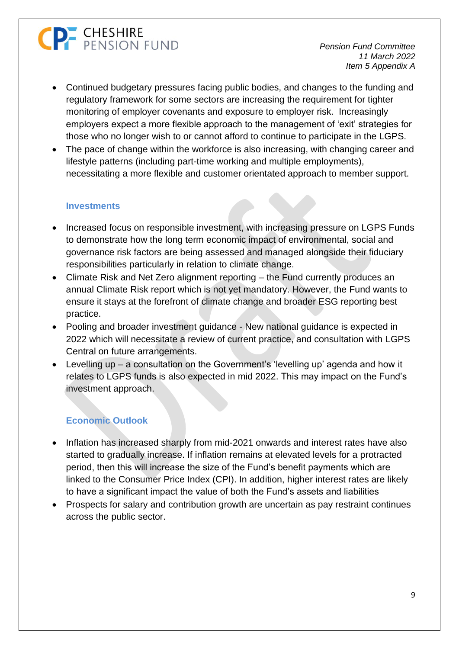*Pension Fund Committee 11 March 2022 Item 5 Appendix A*

- Continued budgetary pressures facing public bodies, and changes to the funding and regulatory framework for some sectors are increasing the requirement for tighter monitoring of employer covenants and exposure to employer risk. Increasingly employers expect a more flexible approach to the management of 'exit' strategies for those who no longer wish to or cannot afford to continue to participate in the LGPS.
- The pace of change within the workforce is also increasing, with changing career and lifestyle patterns (including part-time working and multiple employments), necessitating a more flexible and customer orientated approach to member support.

#### **Investments**

- Increased focus on responsible investment, with increasing pressure on LGPS Funds to demonstrate how the long term economic impact of environmental, social and governance risk factors are being assessed and managed alongside their fiduciary responsibilities particularly in relation to climate change.
- Climate Risk and Net Zero alignment reporting the Fund currently produces an annual Climate Risk report which is not yet mandatory. However, the Fund wants to ensure it stays at the forefront of climate change and broader ESG reporting best practice.
- Pooling and broader investment guidance New national guidance is expected in 2022 which will necessitate a review of current practice, and consultation with LGPS Central on future arrangements.
- Levelling up a consultation on the Government's 'levelling up' agenda and how it relates to LGPS funds is also expected in mid 2022. This may impact on the Fund's investment approach.

## **Economic Outlook**

- Inflation has increased sharply from mid-2021 onwards and interest rates have also started to gradually increase. If inflation remains at elevated levels for a protracted period, then this will increase the size of the Fund's benefit payments which are linked to the Consumer Price Index (CPI). In addition, higher interest rates are likely to have a significant impact the value of both the Fund's assets and liabilities
- Prospects for salary and contribution growth are uncertain as pay restraint continues across the public sector.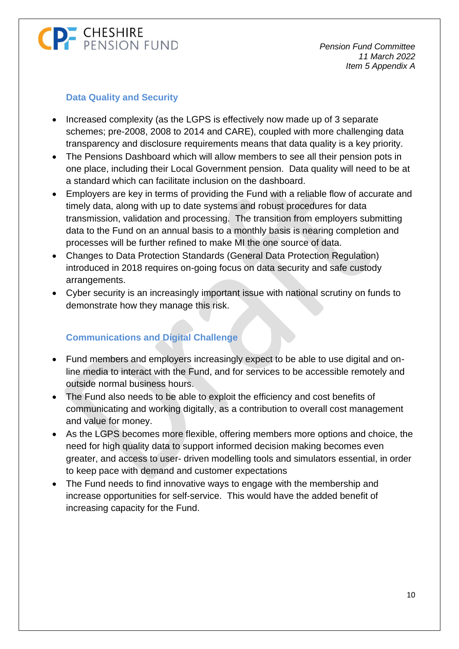## **Data Quality and Security**

- Increased complexity (as the LGPS is effectively now made up of 3 separate schemes; pre-2008, 2008 to 2014 and CARE), coupled with more challenging data transparency and disclosure requirements means that data quality is a key priority.
- The Pensions Dashboard which will allow members to see all their pension pots in one place, including their Local Government pension. Data quality will need to be at a standard which can facilitate inclusion on the dashboard.
- Employers are key in terms of providing the Fund with a reliable flow of accurate and timely data, along with up to date systems and robust procedures for data transmission, validation and processing. The transition from employers submitting data to the Fund on an annual basis to a monthly basis is nearing completion and processes will be further refined to make MI the one source of data.
- Changes to Data Protection Standards (General Data Protection Regulation) introduced in 2018 requires on-going focus on data security and safe custody arrangements.
- Cyber security is an increasingly important issue with national scrutiny on funds to demonstrate how they manage this risk.

## **Communications and Digital Challenge**

- Fund members and employers increasingly expect to be able to use digital and online media to interact with the Fund, and for services to be accessible remotely and outside normal business hours.
- The Fund also needs to be able to exploit the efficiency and cost benefits of communicating and working digitally, as a contribution to overall cost management and value for money.
- As the LGPS becomes more flexible, offering members more options and choice, the need for high quality data to support informed decision making becomes even greater, and access to user- driven modelling tools and simulators essential, in order to keep pace with demand and customer expectations
- The Fund needs to find innovative ways to engage with the membership and increase opportunities for self-service. This would have the added benefit of increasing capacity for the Fund.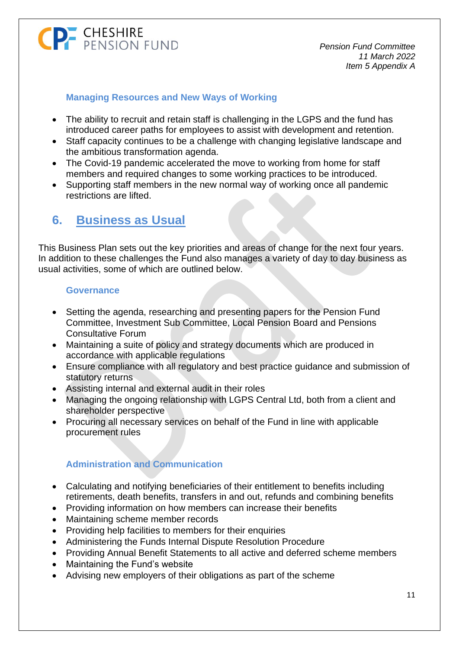*Pension Fund Committee 11 March 2022 Item 5 Appendix A*

### **Managing Resources and New Ways of Working**

- The ability to recruit and retain staff is challenging in the LGPS and the fund has introduced career paths for employees to assist with development and retention.
- Staff capacity continues to be a challenge with changing legislative landscape and the ambitious transformation agenda.
- The Covid-19 pandemic accelerated the move to working from home for staff members and required changes to some working practices to be introduced.
- Supporting staff members in the new normal way of working once all pandemic restrictions are lifted.

## <span id="page-12-0"></span>**6. Business as Usual**

This Business Plan sets out the key priorities and areas of change for the next four years. In addition to these challenges the Fund also manages a variety of day to day business as usual activities, some of which are outlined below.

### **Governance**

- Setting the agenda, researching and presenting papers for the Pension Fund Committee, Investment Sub Committee, Local Pension Board and Pensions Consultative Forum
- Maintaining a suite of policy and strategy documents which are produced in accordance with applicable regulations
- Ensure compliance with all regulatory and best practice guidance and submission of statutory returns
- Assisting internal and external audit in their roles
- Managing the ongoing relationship with LGPS Central Ltd, both from a client and shareholder perspective
- Procuring all necessary services on behalf of the Fund in line with applicable procurement rules

## **Administration and Communication**

- Calculating and notifying beneficiaries of their entitlement to benefits including retirements, death benefits, transfers in and out, refunds and combining benefits
- Providing information on how members can increase their benefits
- Maintaining scheme member records
- Providing help facilities to members for their enquiries
- Administering the Funds Internal Dispute Resolution Procedure
- Providing Annual Benefit Statements to all active and deferred scheme members
- Maintaining the Fund's website
- Advising new employers of their obligations as part of the scheme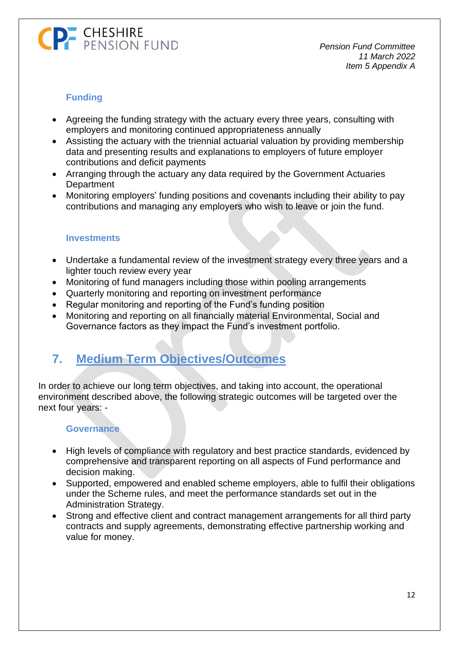## **Funding**

- Agreeing the funding strategy with the actuary every three years, consulting with employers and monitoring continued appropriateness annually
- Assisting the actuary with the triennial actuarial valuation by providing membership data and presenting results and explanations to employers of future employer contributions and deficit payments
- Arranging through the actuary any data required by the Government Actuaries **Department**
- Monitoring employers' funding positions and covenants including their ability to pay contributions and managing any employers who wish to leave or join the fund.

### **Investments**

- Undertake a fundamental review of the investment strategy every three years and a lighter touch review every year
- Monitoring of fund managers including those within pooling arrangements
- Quarterly monitoring and reporting on investment performance
- Regular monitoring and reporting of the Fund's funding position
- Monitoring and reporting on all financially material Environmental, Social and Governance factors as they impact the Fund's investment portfolio.

## <span id="page-13-0"></span>**7. Medium Term Objectives/Outcomes**

In order to achieve our long term objectives, and taking into account, the operational environment described above, the following strategic outcomes will be targeted over the next four years: -

### **Governance**

- High levels of compliance with regulatory and best practice standards, evidenced by comprehensive and transparent reporting on all aspects of Fund performance and decision making.
- Supported, empowered and enabled scheme employers, able to fulfil their obligations under the Scheme rules, and meet the performance standards set out in the Administration Strategy.
- Strong and effective client and contract management arrangements for all third party contracts and supply agreements, demonstrating effective partnership working and value for money.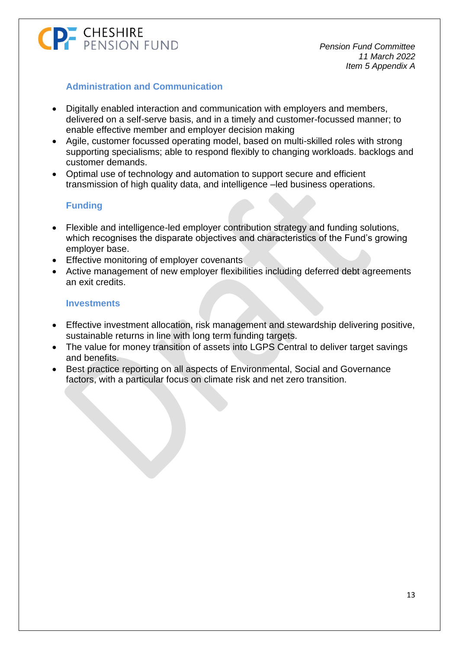### **Administration and Communication**

- Digitally enabled interaction and communication with employers and members, delivered on a self-serve basis, and in a timely and customer-focussed manner; to enable effective member and employer decision making
- Agile, customer focussed operating model, based on multi-skilled roles with strong supporting specialisms; able to respond flexibly to changing workloads. backlogs and customer demands.
- Optimal use of technology and automation to support secure and efficient transmission of high quality data, and intelligence –led business operations.

### **Funding**

- Flexible and intelligence-led employer contribution strategy and funding solutions, which recognises the disparate objectives and characteristics of the Fund's growing employer base.
- **Effective monitoring of employer covenants**
- Active management of new employer flexibilities including deferred debt agreements an exit credits.

#### **Investments**

- Effective investment allocation, risk management and stewardship delivering positive, sustainable returns in line with long term funding targets.
- The value for money transition of assets into LGPS Central to deliver target savings and benefits.
- Best practice reporting on all aspects of Environmental, Social and Governance factors, with a particular focus on climate risk and net zero transition.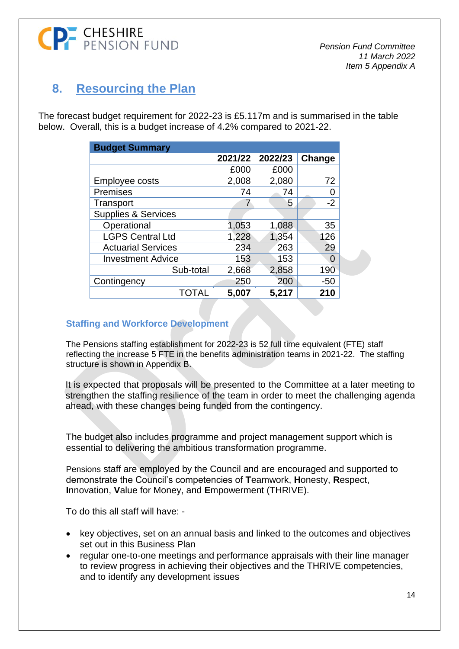

## <span id="page-15-0"></span>**8. Resourcing the Plan**

The forecast budget requirement for 2022-23 is £5.117m and is summarised in the table below. Overall, this is a budget increase of 4.2% compared to 2021-22.

| <b>Budget Summary</b>          |         |         |        |  |  |
|--------------------------------|---------|---------|--------|--|--|
|                                | 2021/22 | 2022/23 | Change |  |  |
|                                | £000    | £000    |        |  |  |
| Employee costs                 | 2,008   | 2,080   | 72     |  |  |
| Premises                       | 74      | 74      | 0      |  |  |
| Transport                      |         | 5       | $-2$   |  |  |
| <b>Supplies &amp; Services</b> |         |         |        |  |  |
| Operational                    | 1,053   | 1,088   | 35     |  |  |
| <b>LGPS Central Ltd</b>        | 1,228   | 1,354   | 126    |  |  |
| <b>Actuarial Services</b>      | 234     | 263     | 29     |  |  |
| <b>Investment Advice</b>       | 153     | 153     | 0      |  |  |
| Sub-total                      | 2,668   | 2,858   | 190    |  |  |
| Contingency                    | 250     | 200     | $-50$  |  |  |
| TOTAL                          | 5,007   | 5,217   | 210    |  |  |

#### **Staffing and Workforce Development**

The Pensions staffing establishment for 2022-23 is 52 full time equivalent (FTE) staff reflecting the increase 5 FTE in the benefits administration teams in 2021-22. The staffing structure is shown in Appendix B.

It is expected that proposals will be presented to the Committee at a later meeting to strengthen the staffing resilience of the team in order to meet the challenging agenda ahead, with these changes being funded from the contingency.

The budget also includes programme and project management support which is essential to delivering the ambitious transformation programme.

Pensions staff are employed by the Council and are encouraged and supported to demonstrate the Council's competencies of **T**eamwork, **H**onesty, **R**espect, **I**nnovation, **V**alue for Money, and **E**mpowerment (THRIVE).

To do this all staff will have: -

- key objectives, set on an annual basis and linked to the outcomes and objectives set out in this Business Plan
- regular one-to-one meetings and performance appraisals with their line manager to review progress in achieving their objectives and the THRIVE competencies, and to identify any development issues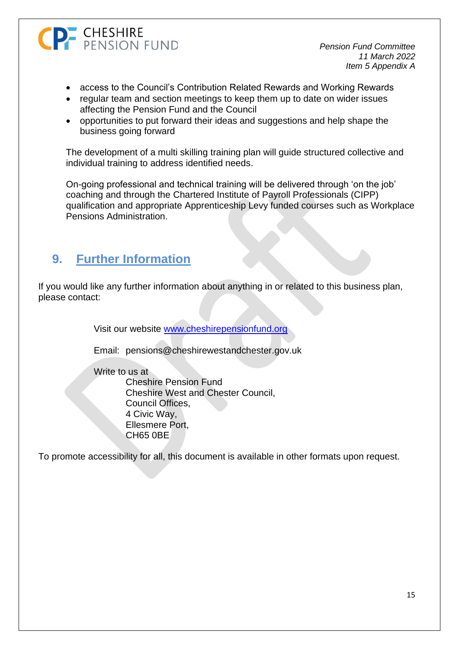

- access to the Council's Contribution Related Rewards and Working Rewards
- regular team and section meetings to keep them up to date on wider issues affecting the Pension Fund and the Council
- opportunities to put forward their ideas and suggestions and help shape the business going forward

The development of a multi skilling training plan will guide structured collective and individual training to address identified needs.

On-going professional and technical training will be delivered through 'on the job' coaching and through the Chartered Institute of Payroll Professionals (CIPP) qualification and appropriate Apprenticeship Levy funded courses such as Workplace Pensions Administration.

## <span id="page-16-0"></span>**9. Further Information**

If you would like any further information about anything in or related to this business plan, please contact:

Visit our website [www.cheshirepensionfund.org](http://www.cheshirepensionfund.org/)

Email: [pensions@cheshirewestandchester.gov.uk](mailto:pensions@cheshirewestandchester.gov.uk)

Write to us at

Cheshire Pension Fund Cheshire West and Chester Council, Council Offices, 4 Civic Way, Ellesmere Port, CH65 0BE

To promote accessibility for all, this document is available in other formats upon request.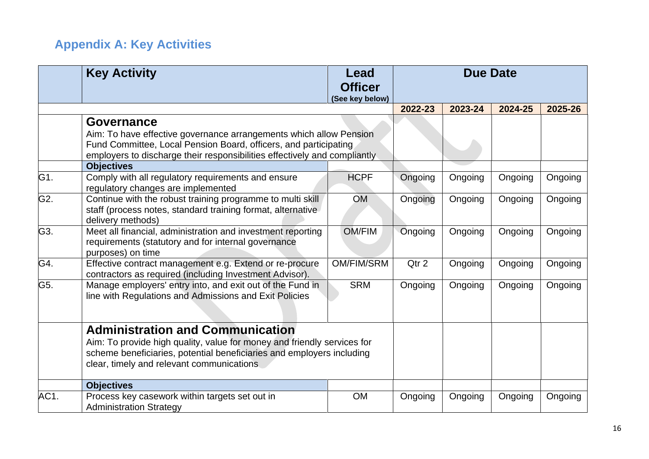# **Appendix A: Key Activities**

<span id="page-17-0"></span>

|      | <b>Key Activity</b>                                                                                                                                                                                                                       | Lead<br><b>Officer</b> | <b>Due Date</b> |         |         |         |
|------|-------------------------------------------------------------------------------------------------------------------------------------------------------------------------------------------------------------------------------------------|------------------------|-----------------|---------|---------|---------|
|      |                                                                                                                                                                                                                                           | (See key below)        | 2022-23         | 2023-24 | 2024-25 | 2025-26 |
|      | <b>Governance</b><br>Aim: To have effective governance arrangements which allow Pension<br>Fund Committee, Local Pension Board, officers, and participating<br>employers to discharge their responsibilities effectively and compliantly  |                        |                 |         |         |         |
|      | <b>Objectives</b>                                                                                                                                                                                                                         |                        |                 |         |         |         |
| G1.  | Comply with all regulatory requirements and ensure<br>regulatory changes are implemented                                                                                                                                                  | <b>HCPF</b>            | Ongoing         | Ongoing | Ongoing | Ongoing |
| G2.  | Continue with the robust training programme to multi skill<br>staff (process notes, standard training format, alternative<br>delivery methods)                                                                                            | <b>OM</b>              | Ongoing         | Ongoing | Ongoing | Ongoing |
| G3.  | Meet all financial, administration and investment reporting<br>requirements (statutory and for internal governance<br>purposes) on time                                                                                                   | <b>OM/FIM</b>          | Ongoing         | Ongoing | Ongoing | Ongoing |
| G4.  | Effective contract management e.g. Extend or re-procure<br>contractors as required (including Investment Advisor).                                                                                                                        | <b>OM/FIM/SRM</b>      | Qtr 2           | Ongoing | Ongoing | Ongoing |
| G5.  | Manage employers' entry into, and exit out of the Fund in<br>line with Regulations and Admissions and Exit Policies                                                                                                                       | <b>SRM</b>             | Ongoing         | Ongoing | Ongoing | Ongoing |
|      | <b>Administration and Communication</b><br>Aim: To provide high quality, value for money and friendly services for<br>scheme beneficiaries, potential beneficiaries and employers including<br>clear, timely and relevant communications. |                        |                 |         |         |         |
|      | <b>Objectives</b>                                                                                                                                                                                                                         |                        |                 |         |         |         |
| AC1. | Process key casework within targets set out in<br><b>Administration Strategy</b>                                                                                                                                                          | <b>OM</b>              | Ongoing         | Ongoing | Ongoing | Ongoing |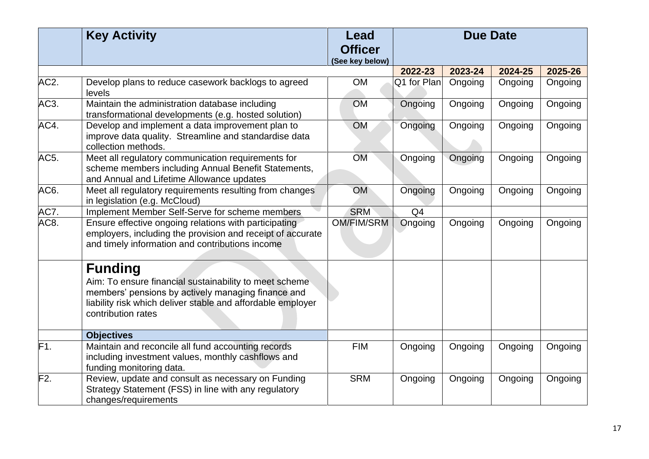|                   | <b>Key Activity</b>                                                                                                                                                                                                 | Lead<br><b>Officer</b><br>(See key below) | <b>Due Date</b> |         |         |         |
|-------------------|---------------------------------------------------------------------------------------------------------------------------------------------------------------------------------------------------------------------|-------------------------------------------|-----------------|---------|---------|---------|
|                   |                                                                                                                                                                                                                     |                                           | 2022-23         | 2023-24 | 2024-25 | 2025-26 |
| AC <sub>2</sub> . | Develop plans to reduce casework backlogs to agreed<br>levels                                                                                                                                                       | <b>OM</b>                                 | Q1 for Plan     | Ongoing | Ongoing | Ongoing |
| AC3.              | Maintain the administration database including<br>transformational developments (e.g. hosted solution)                                                                                                              | <b>OM</b>                                 | Ongoing         | Ongoing | Ongoing | Ongoing |
| AC4.              | Develop and implement a data improvement plan to<br>improve data quality. Streamline and standardise data<br>collection methods.                                                                                    | <b>OM</b>                                 | Ongoing         | Ongoing | Ongoing | Ongoing |
| AC5.              | Meet all regulatory communication requirements for<br>scheme members including Annual Benefit Statements,<br>and Annual and Lifetime Allowance updates                                                              | <b>OM</b>                                 | Ongoing         | Ongoing | Ongoing | Ongoing |
| AC6.              | Meet all regulatory requirements resulting from changes<br>in legislation (e.g. McCloud)                                                                                                                            | <b>OM</b>                                 | Ongoing         | Ongoing | Ongoing | Ongoing |
| AC7.              | Implement Member Self-Serve for scheme members                                                                                                                                                                      | <b>SRM</b>                                | Q <sub>4</sub>  |         |         |         |
| AC <sub>8</sub>   | Ensure effective ongoing relations with participating<br>employers, including the provision and receipt of accurate<br>and timely information and contributions income                                              | <b>OM/FIM/SRM</b>                         | Ongoing         | Ongoing | Ongoing | Ongoing |
|                   | <b>Funding</b><br>Aim: To ensure financial sustainability to meet scheme<br>members' pensions by actively managing finance and<br>liability risk which deliver stable and affordable employer<br>contribution rates |                                           |                 |         |         |         |
|                   | <b>Objectives</b>                                                                                                                                                                                                   |                                           |                 |         |         |         |
| F1.               | Maintain and reconcile all fund accounting records<br>including investment values, monthly cashflows and<br>funding monitoring data.                                                                                | <b>FIM</b>                                | Ongoing         | Ongoing | Ongoing | Ongoing |
| F2.               | Review, update and consult as necessary on Funding<br>Strategy Statement (FSS) in line with any regulatory<br>changes/requirements                                                                                  | <b>SRM</b>                                | Ongoing         | Ongoing | Ongoing | Ongoing |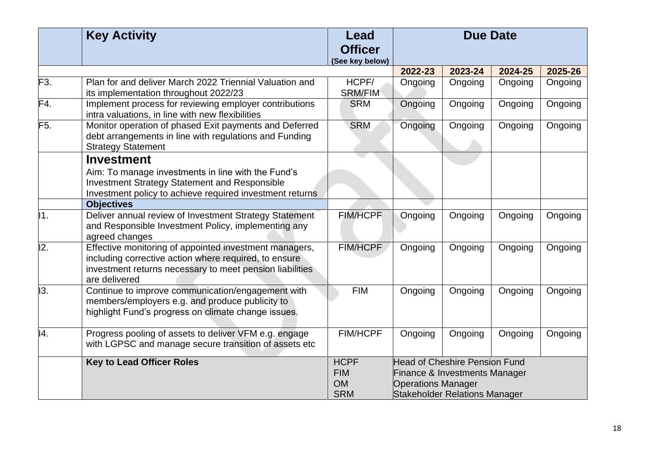|                  | <b>Key Activity</b>                                                                                                                                                                          | Lead<br><b>Officer</b><br>(See key below) |                                      | <b>Due Date</b> |         |         |
|------------------|----------------------------------------------------------------------------------------------------------------------------------------------------------------------------------------------|-------------------------------------------|--------------------------------------|-----------------|---------|---------|
|                  |                                                                                                                                                                                              |                                           | 2022-23                              | 2023-24         | 2024-25 | 2025-26 |
| F <sub>3</sub> . | Plan for and deliver March 2022 Triennial Valuation and<br>its implementation throughout 2022/23                                                                                             | HCPF/<br><b>SRM/FIM</b>                   | Ongoing                              | Ongoing         | Ongoing | Ongoing |
| F4.              | Implement process for reviewing employer contributions<br>intra valuations, in line with new flexibilities                                                                                   | <b>SRM</b>                                | Ongoing                              | Ongoing         | Ongoing | Ongoing |
| F <sub>5</sub> . | Monitor operation of phased Exit payments and Deferred<br>debt arrangements in line with regulations and Funding<br><b>Strategy Statement</b>                                                | <b>SRM</b>                                | Ongoing                              | Ongoing         | Ongoing | Ongoing |
|                  | <b>Investment</b><br>Aim: To manage investments in line with the Fund's<br><b>Investment Strategy Statement and Responsible</b><br>Investment policy to achieve required investment returns  |                                           |                                      |                 |         |         |
|                  | <b>Objectives</b>                                                                                                                                                                            |                                           |                                      |                 |         |         |
| 11.              | Deliver annual review of Investment Strategy Statement<br>and Responsible Investment Policy, implementing any<br>agreed changes                                                              | <b>FIM/HCPF</b>                           | Ongoing                              | Ongoing         | Ongoing | Ongoing |
| I2.              | Effective monitoring of appointed investment managers,<br>including corrective action where required, to ensure<br>investment returns necessary to meet pension liabilities<br>are delivered | <b>FIM/HCPF</b>                           | Ongoing                              | Ongoing         | Ongoing | Ongoing |
| 13.              | Continue to improve communication/engagement with<br>members/employers e.g. and produce publicity to<br>highlight Fund's progress on climate change issues.                                  | <b>FIM</b>                                | Ongoing                              | Ongoing         | Ongoing | Ongoing |
| 14.              | Progress pooling of assets to deliver VFM e.g. engage<br>with LGPSC and manage secure transition of assets etc                                                                               | <b>FIM/HCPF</b>                           | Ongoing                              | Ongoing         | Ongoing | Ongoing |
|                  | <b>Key to Lead Officer Roles</b>                                                                                                                                                             | <b>HCPF</b>                               | <b>Head of Cheshire Pension Fund</b> |                 |         |         |
|                  |                                                                                                                                                                                              | <b>FIM</b>                                | Finance & Investments Manager        |                 |         |         |
|                  |                                                                                                                                                                                              | <b>OM</b>                                 | <b>Operations Manager</b>            |                 |         |         |
|                  |                                                                                                                                                                                              | <b>SRM</b>                                | <b>Stakeholder Relations Manager</b> |                 |         |         |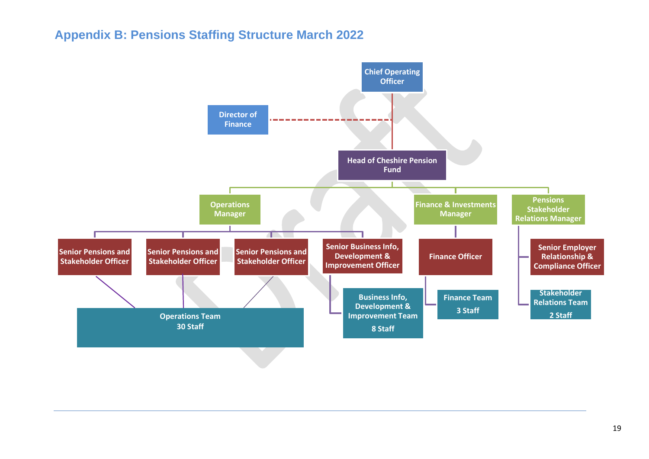## **Appendix B: Pensions Staffing Structure March 2022**

<span id="page-20-0"></span>